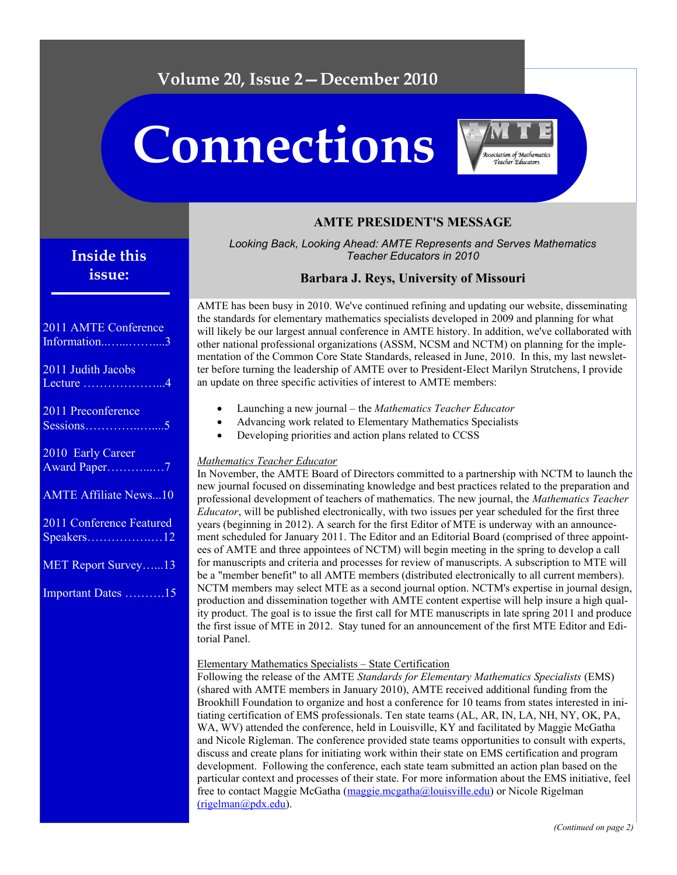## **Volume 20, Issue 2—December 2010**

# **Connections**



## **AMTE PRESIDENT'S MESSAGE**

*Looking Back, Looking Ahead: AMTE Represents and Serves Mathematics Teacher Educators in 2010*

## **Barbara J. Reys, University of Missouri**

AMTE has been busy in 2010. We've continued refining and updating our website, disseminating the standards for elementary mathematics specialists developed in 2009 and planning for what will likely be our largest annual conference in AMTE history. In addition, we've collaborated with other national professional organizations (ASSM, NCSM and NCTM) on planning for the implementation of the Common Core State Standards, released in June, 2010. In this, my last newsletter before turning the leadership of AMTE over to President-Elect Marilyn Strutchens, I provide an update on three specific activities of interest to AMTE members:

- Launching a new journal the *Mathematics Teacher Educator*
- Advancing work related to Elementary Mathematics Specialists
- Developing priorities and action plans related to CCSS

#### *Mathematics Teacher Educator*

In November, the AMTE Board of Directors committed to a partnership with NCTM to launch the new journal focused on disseminating knowledge and best practices related to the preparation and professional development of teachers of mathematics. The new journal, the *Mathematics Teacher Educator*, will be published electronically, with two issues per year scheduled for the first three years (beginning in 2012). A search for the first Editor of MTE is underway with an announcement scheduled for January 2011. The Editor and an Editorial Board (comprised of three appointees of AMTE and three appointees of NCTM) will begin meeting in the spring to develop a call for manuscripts and criteria and processes for review of manuscripts. A subscription to MTE will be a "member benefit" to all AMTE members (distributed electronically to all current members). NCTM members may select MTE as a second journal option. NCTM's expertise in journal design, production and dissemination together with AMTE content expertise will help insure a high quality product. The goal is to issue the first call for MTE manuscripts in late spring 2011 and produce the first issue of MTE in 2012. Stay tuned for an announcement of the first MTE Editor and Editorial Panel.

#### Elementary Mathematics Specialists – State Certification

Following the release of the AMTE *Standards for Elementary Mathematics Specialists* (EMS) (shared with AMTE members in January 2010), AMTE received additional funding from the Brookhill Foundation to organize and host a conference for 10 teams from states interested in initiating certification of EMS professionals. Ten state teams (AL, AR, IN, LA, NH, NY, OK, PA, WA, WV) attended the conference, held in Louisville, KY and facilitated by Maggie McGatha and Nicole Rigleman. The conference provided state teams opportunities to consult with experts, discuss and create plans for initiating work within their state on EMS certification and program development. Following the conference, each state team submitted an action plan based on the particular context and processes of their state. For more information about the EMS initiative, feel free to contact Maggie McGatha ([maggie.mcgatha@louisville.edu\)](mailto:maggie.mcgatha@louisville.edu) or Nicole Rigelman [\(rigelman@pdx.edu\).](mailto:rigelman@pdx.edu)

## **Inside this issue:**

## 2011 AMTE Conference Information..…...……....3

| 2011 Judith Jacobs<br>Lecture $\dots\dots\dots\dots\dots4$ |
|------------------------------------------------------------|
| 2011 Preconference<br>$S \overline{\text{essions}}$ 5      |
| 2010 Early Career<br>Award Paper7                          |
| <b>AMTE Affiliate News10</b>                               |
| 2011 Conference Featured                                   |
| MET Report Survey13                                        |
| Important Dates 15                                         |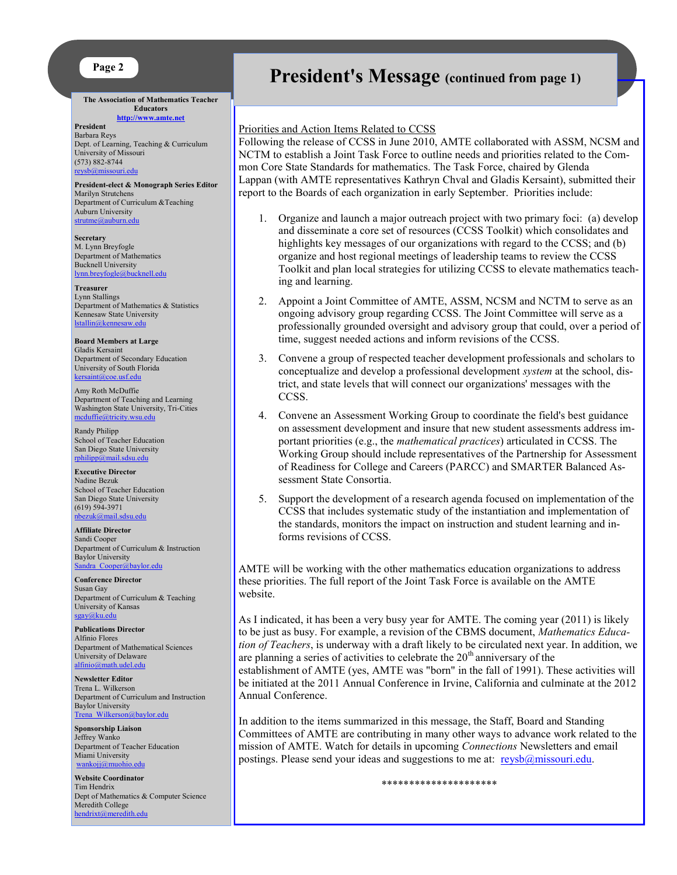#### **Page 2**

**The Association of Mathematics Teacher Educators**

**<http://www.amte.net> President**  Barbara Reys Dept. of Learning, Teaching & Curriculum University of Missouri (573) 882-8744 [reysb@missouri.edu](mailto:reysb@missouri.edu)

**President-elect & Monograph Series Editor** Marilyn Strutchens Department of Curriculum &Teaching Auburn University strutme@auburn.edu

**Secretary** M. Lynn Breyfogle Department of Mathematics Bucknell University [lynn.breyfogle@bucknell.edu](mailto:lynn.breyfogle@bucknell.edu)

**Treasurer** Lynn Stallings Department of Mathematics & Statistics Kennesaw State University [lstallin@kennesaw.edu](mailto:lstallin@kennesaw.edu)

**Board Members at Large** Gladis Kersaint Department of Secondary Education University of South Florida [kersaint@coe.usf.edu](mailto:kersaint@coe.usf.edu)

Amy Roth McDuffie Department of Teaching and Learning Washington State University, Tri-Cities [mcduffie@tricity.wsu.edu](mailto:mcduffie@tricity.wsu.edu)

Randy Philipp School of Teacher Education San Diego State University [rphilipp@mail.sdsu.edu](mailto:rphilipp@mail.sdsu.edu)

**Executive Director** Nadine Bezuk School of Teacher Education San Diego State University (619) 594-3971 [nbezuk@mail.sdsu.edu](mailto:nbezuk@mail.sdsu.edu)

**Affiliate Director** Sandi Cooper Department of Curriculum & Instruction Baylor University Sandra Cooper@baylor.edu

**Conference Director** Susan Gay Department of Curriculum & Teaching University of Kansas [sgay@ku.edu](mailto:sgay@ku.edu)

**Publications Director** Alfinio Flores Department of Mathematical Sciences University of Delaware [alfinio@math.udel.edu](mailto:alfinio@math.udel.edu)

**Newsletter Editor** Trena L. Wilkerson Department of Curriculum and Instruction Baylor University [Trena\\_Wilkerson@baylor.edu](mailto:Trena_Wilkerson@baylor.edu)

**Sponsorship Liaison** Jeffrey Wanko Department of Teacher Education Miami University wankoji@muohio.edu

**Website Coordinator** Tim Hendrix Dept of Mathematics & Computer Science Meredith College [hendrixt@meredith.edu](mailto:hendrixt@meredith.edu)

## **President's Message (continued from page 1)**

#### Priorities and Action Items Related to CCSS

Following the release of CCSS in June 2010, AMTE collaborated with ASSM, NCSM and NCTM to establish a Joint Task Force to outline needs and priorities related to the Common Core State Standards for mathematics. The Task Force, chaired by Glenda Lappan (with AMTE representatives Kathryn Chval and Gladis Kersaint), submitted their report to the Boards of each organization in early September. Priorities include:

- 1. Organize and launch a major outreach project with two primary foci: (a) develop and disseminate a core set of resources (CCSS Toolkit) which consolidates and highlights key messages of our organizations with regard to the CCSS; and (b) organize and host regional meetings of leadership teams to review the CCSS Toolkit and plan local strategies for utilizing CCSS to elevate mathematics teaching and learning.
- 2. Appoint a Joint Committee of AMTE, ASSM, NCSM and NCTM to serve as an ongoing advisory group regarding CCSS. The Joint Committee will serve as a professionally grounded oversight and advisory group that could, over a period of time, suggest needed actions and inform revisions of the CCSS.
- 3. Convene a group of respected teacher development professionals and scholars to conceptualize and develop a professional development *system* at the school, district, and state levels that will connect our organizations' messages with the CCSS.
- 4. Convene an Assessment Working Group to coordinate the field's best guidance on assessment development and insure that new student assessments address important priorities (e.g., the *mathematical practices*) articulated in CCSS. The Working Group should include representatives of the Partnership for Assessment of Readiness for College and Careers (PARCC) and SMARTER Balanced Assessment State Consortia.
- 5. Support the development of a research agenda focused on implementation of the CCSS that includes systematic study of the instantiation and implementation of the standards, monitors the impact on instruction and student learning and informs revisions of CCSS.

AMTE will be working with the other mathematics education organizations to address these priorities. The full report of the Joint Task Force is available on the AMTE website.

As I indicated, it has been a very busy year for AMTE. The coming year (2011) is likely to be just as busy. For example, a revision of the CBMS document, *Mathematics Education of Teachers*, is underway with a draft likely to be circulated next year. In addition, we are planning a series of activities to celebrate the  $20<sup>th</sup>$  anniversary of the establishment of AMTE (yes, AMTE was "born" in the fall of 1991). These activities will be initiated at the 2011 Annual Conference in Irvine, California and culminate at the 2012 Annual Conference.

In addition to the items summarized in this message, the Staff, Board and Standing Committees of AMTE are contributing in many other ways to advance work related to the mission of AMTE. Watch for details in upcoming *Connections* Newsletters and email postings. Please send your ideas and suggestions to me at: [reysb@missouri.edu.](https://mail.baylor.edu/owa/redir.aspx?C=cc3e63d662174e8bbd6b3e68e2c65943&URL=mailto%3areysb%40missouri.edu)

\*\*\*\*\*\*\*\*\*\*\*\*\*\*\*\*\*\*\*\*\*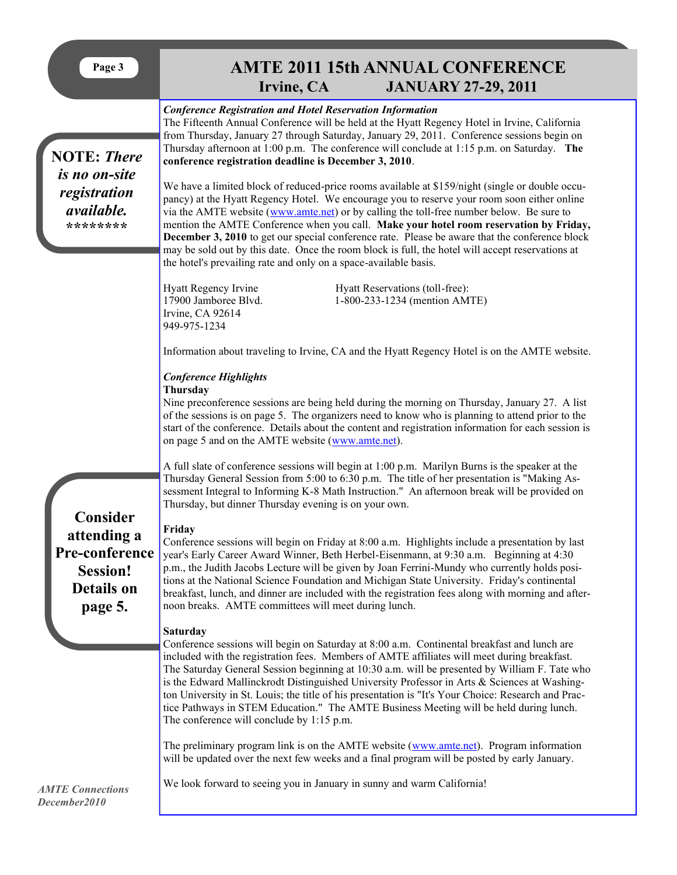|--|

# **PARTE 2011 15th ANNUAL CONFERENCE**<br> **Page 31 IANUARY 27-29, 2011 JANUARY 27-29, 2011**

|                                                                                              | $\mathbf{u}$ ville, $\mathbf{u}$                                                                                                                                                                                                                                                                                                                                                                                                                                                                                                                                                                                                                                                                                                                                                                                                                                                                                                                                                                                                                                                                | $\frac{1}{2}$                 |  |  |
|----------------------------------------------------------------------------------------------|-------------------------------------------------------------------------------------------------------------------------------------------------------------------------------------------------------------------------------------------------------------------------------------------------------------------------------------------------------------------------------------------------------------------------------------------------------------------------------------------------------------------------------------------------------------------------------------------------------------------------------------------------------------------------------------------------------------------------------------------------------------------------------------------------------------------------------------------------------------------------------------------------------------------------------------------------------------------------------------------------------------------------------------------------------------------------------------------------|-------------------------------|--|--|
| <b>NOTE: There</b><br>is no on-site<br>registration<br><i>available.</i><br>********         | <b>Conference Registration and Hotel Reservation Information</b><br>The Fifteenth Annual Conference will be held at the Hyatt Regency Hotel in Irvine, California<br>from Thursday, January 27 through Saturday, January 29, 2011. Conference sessions begin on<br>Thursday afternoon at 1:00 p.m. The conference will conclude at 1:15 p.m. on Saturday. The<br>conference registration deadline is December 3, 2010.<br>We have a limited block of reduced-price rooms available at \$159/night (single or double occu-<br>pancy) at the Hyatt Regency Hotel. We encourage you to reserve your room soon either online<br>via the AMTE website (www.amte.net) or by calling the toll-free number below. Be sure to<br>mention the AMTE Conference when you call. Make your hotel room reservation by Friday,<br><b>December 3, 2010</b> to get our special conference rate. Please be aware that the conference block<br>may be sold out by this date. Once the room block is full, the hotel will accept reservations at<br>the hotel's prevailing rate and only on a space-available basis. |                               |  |  |
|                                                                                              | Hyatt Regency Irvine<br>Hyatt Reservations (toll-free):<br>17900 Jamboree Blvd.<br>Irvine, CA 92614<br>949-975-1234                                                                                                                                                                                                                                                                                                                                                                                                                                                                                                                                                                                                                                                                                                                                                                                                                                                                                                                                                                             | 1-800-233-1234 (mention AMTE) |  |  |
|                                                                                              | Information about traveling to Irvine, CA and the Hyatt Regency Hotel is on the AMTE website.<br><b>Conference Highlights</b><br>Thursday<br>Nine preconference sessions are being held during the morning on Thursday, January 27. A list<br>of the sessions is on page 5. The organizers need to know who is planning to attend prior to the                                                                                                                                                                                                                                                                                                                                                                                                                                                                                                                                                                                                                                                                                                                                                  |                               |  |  |
|                                                                                              | start of the conference. Details about the content and registration information for each session is<br>on page 5 and on the AMTE website (www.amte.net).<br>A full slate of conference sessions will begin at 1:00 p.m. Marilyn Burns is the speaker at the<br>Thursday General Session from 5:00 to 6:30 p.m. The title of her presentation is "Making As-<br>sessment Integral to Informing K-8 Math Instruction." An afternoon break will be provided on<br>Thursday, but dinner Thursday evening is on your own.                                                                                                                                                                                                                                                                                                                                                                                                                                                                                                                                                                            |                               |  |  |
| Consider<br>attending a<br>Pre-conference<br><b>Session!</b><br><b>Details on</b><br>page 5. | Friday<br>Conference sessions will begin on Friday at 8:00 a.m. Highlights include a presentation by last<br>year's Early Career Award Winner, Beth Herbel-Eisenmann, at 9:30 a.m. Beginning at 4:30<br>p.m., the Judith Jacobs Lecture will be given by Joan Ferrini-Mundy who currently holds posi-<br>tions at the National Science Foundation and Michigan State University. Friday's continental<br>breakfast, lunch, and dinner are included with the registration fees along with morning and after-<br>noon breaks. AMTE committees will meet during lunch.                                                                                                                                                                                                                                                                                                                                                                                                                                                                                                                             |                               |  |  |
|                                                                                              | <b>Saturday</b><br>Conference sessions will begin on Saturday at 8:00 a.m. Continental breakfast and lunch are<br>included with the registration fees. Members of AMTE affiliates will meet during breakfast.<br>The Saturday General Session beginning at 10:30 a.m. will be presented by William F. Tate who<br>is the Edward Mallinckrodt Distinguished University Professor in Arts $\&$ Sciences at Washing-<br>ton University in St. Louis; the title of his presentation is "It's Your Choice: Research and Prac-<br>tice Pathways in STEM Education." The AMTE Business Meeting will be held during lunch.<br>The conference will conclude by 1:15 p.m.                                                                                                                                                                                                                                                                                                                                                                                                                                 |                               |  |  |
| <b>AMTE Connections</b><br>December2010                                                      | The preliminary program link is on the AMTE website (www.amte.net). Program information<br>will be updated over the next few weeks and a final program will be posted by early January.<br>We look forward to seeing you in January in sunny and warm California!                                                                                                                                                                                                                                                                                                                                                                                                                                                                                                                                                                                                                                                                                                                                                                                                                               |                               |  |  |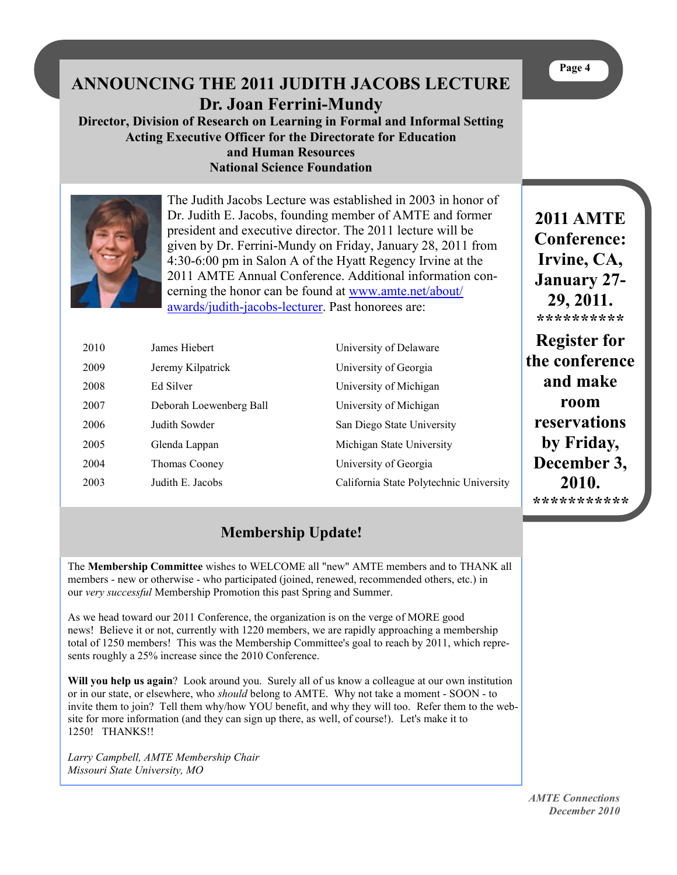|                                                              | Dr. Joan Ferrini-Mundy<br><b>Acting Executive Officer for the Directorate for Education</b><br>and Human Resources<br><b>National Science Foundation</b> | ANNOUNCING THE 2011 JUDITH JACOBS LECTURE<br>Director, Division of Research on Learning in Formal and Informal Setting                                                                                                                                                                                                                                                                                                                    | Page 4                                                                                                                                     |
|--------------------------------------------------------------|----------------------------------------------------------------------------------------------------------------------------------------------------------|-------------------------------------------------------------------------------------------------------------------------------------------------------------------------------------------------------------------------------------------------------------------------------------------------------------------------------------------------------------------------------------------------------------------------------------------|--------------------------------------------------------------------------------------------------------------------------------------------|
|                                                              | awards/judith-jacobs-lecturer. Past honorees are:                                                                                                        | The Judith Jacobs Lecture was established in 2003 in honor of<br>Dr. Judith E. Jacobs, founding member of AMTE and former<br>president and executive director. The 2011 lecture will be<br>given by Dr. Ferrini-Mundy on Friday, January 28, 2011 from<br>4:30-6:00 pm in Salon A of the Hyatt Regency Irvine at the<br>2011 AMTE Annual Conference. Additional information con-<br>cerning the honor can be found at www.amte.net/about/ | <b>2011 AMTE</b><br><b>Conference:</b><br>Irvine, CA,<br><b>January 27-</b><br>29, 2011.<br>**********                                     |
| 2010<br>2009<br>2008<br>2007<br>2006<br>2005<br>2004<br>2003 | James Hiebert<br>Jeremy Kilpatrick<br>Ed Silver<br>Deborah Loewenberg Ball<br>Judith Sowder<br>Glenda Lappan<br>Thomas Cooney<br>Judith E. Jacobs        | University of Delaware<br>University of Georgia<br>University of Michigan<br>University of Michigan<br>San Diego State University<br>Michigan State University<br>University of Georgia<br>California State Polytechnic University                                                                                                                                                                                                        | <b>Register for</b><br>the conference<br>and make<br>room<br>reservations<br>by Friday,<br>December 3,<br>2010.<br>* * * * * * * * * * * * |

## **Membership Update!**

The **Membership Committee** wishes to WELCOME all "new" AMTE members and to THANK all members - new or otherwise - who participated (joined, renewed, recommended others, etc.) in our *very successful* Membership Promotion this past Spring and Summer.

As we head toward our 2011 Conference, the organization is on the verge of MORE good news! Believe it or not, currently with 1220 members, we are rapidly approaching a membership total of 1250 members! This was the Membership Committee's goal to reach by 2011, which represents roughly a 25% increase since the 2010 Conference.

**Will you help us again**? Look around you. Surely all of us know a colleague at our own institution or in our state, or elsewhere, who *should* belong to AMTE. Why not take a moment - SOON - to invite them to join? Tell them why/how YOU benefit, and why they will too. Refer them to the website for more information (and they can sign up there, as well, of course!). Let's make it to 1250! THANKS!!

*Larry Campbell, AMTE Membership Chair Missouri State University, MO*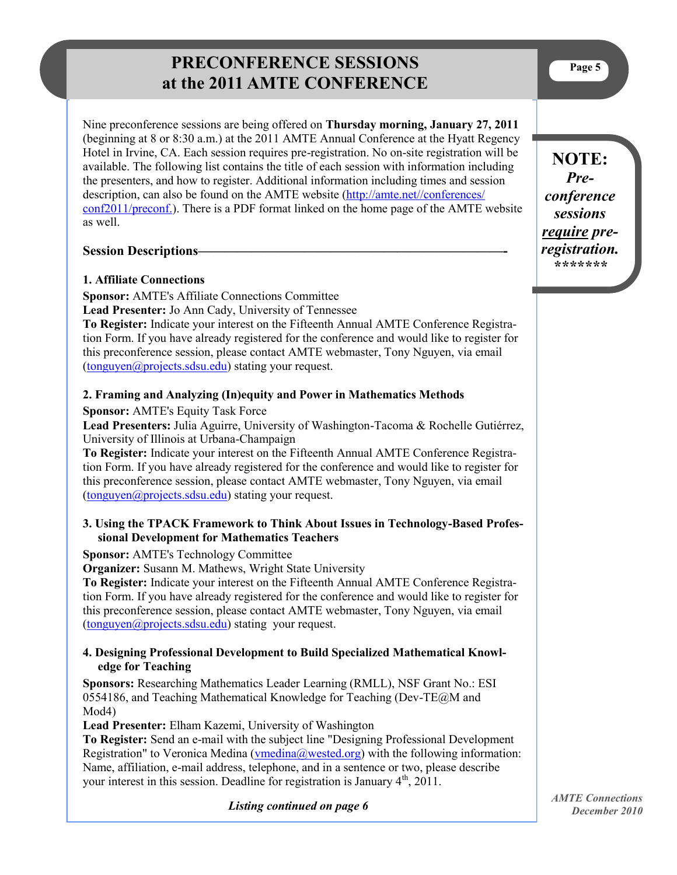## **PRECONFERENCE SESSIONS at the 2011 AMTE CONFERENCE**

Nine preconference sessions are being offered on **Thursday morning, January 27, 2011**  (beginning at 8 or 8:30 a.m.) at the 2011 AMTE Annual Conference at the Hyatt Regency Hotel in Irvine, CA. Each session requires pre-registration. No on-site registration will be available. The following list contains the title of each session with information including the presenters, and how to register. Additional information including times and session description, can also be found on the AMTE website [\(http://amte.net//conferences/](http://amte.net/sites/all/themes/amte/resources/conf2011/15thAMTEConf2011_PreconferenceSessions.pdf) [conf2011/preconf.\).](http://amte.net/sites/all/themes/amte/resources/conf2011/15thAMTEConf2011_PreconferenceSessions.pdf) There is a PDF format linked on the home page of the AMTE website as well.

## **Session Descriptions–**

## **1. Affiliate Connections**

**Sponsor:** AMTE's Affiliate Connections Committee **Lead Presenter:** Jo Ann Cady, University of Tennessee

**To Register:** Indicate your interest on the Fifteenth Annual AMTE Conference Registration Form. If you have already registered for the conference and would like to register for this preconference session, please contact AMTE webmaster, Tony Nguyen, via email ([tonguyen@projects.sdsu.edu\)](mailto:tonguyen@projects.sdsu.edu) stating your request.

## **2. Framing and Analyzing (In)equity and Power in Mathematics Methods**

**Sponsor:** AMTE's Equity Task Force

**Lead Presenters:** Julia Aguirre, University of Washington-Tacoma & Rochelle Gutiérrez, University of Illinois at Urbana-Champaign

**To Register:** Indicate your interest on the Fifteenth Annual AMTE Conference Registration Form. If you have already registered for the conference and would like to register for this preconference session, please contact AMTE webmaster, Tony Nguyen, via email ([tonguyen@projects.sdsu.edu\)](mailto:tonguyen@projects.sdsu.edu) stating your request.

## **3. Using the TPACK Framework to Think About Issues in Technology-Based Professional Development for Mathematics Teachers**

#### **Sponsor:** AMTE's Technology Committee

**Organizer:** Susann M. Mathews, Wright State University

**To Register:** Indicate your interest on the Fifteenth Annual AMTE Conference Registration Form. If you have already registered for the conference and would like to register for this preconference session, please contact AMTE webmaster, Tony Nguyen, via email ([tonguyen@projects.sdsu.edu\)](mailto:tonguyen@projects.sdsu.edu) stating your request.

## **4. Designing Professional Development to Build Specialized Mathematical Knowledge for Teaching**

**Sponsors:** Researching Mathematics Leader Learning (RMLL), NSF Grant No.: ESI 0554186, and Teaching Mathematical Knowledge for Teaching (Dev-TE@M and Mod4)

**Lead Presenter:** Elham Kazemi, University of Washington

**To Register:** Send an e-mail with the subject line "Designing Professional Development Registration" to Veronica Medina ( $v$ medina@wested.org) with the following information: Name, affiliation, e-mail address, telephone, and in a sentence or two, please describe your interest in this session. Deadline for registration is January  $4<sup>th</sup>$ , 2011.

**NOTE:**  *Preconference sessions require preregistration. \*\*\*\*\*\*\** 

*Listing continued on page 6*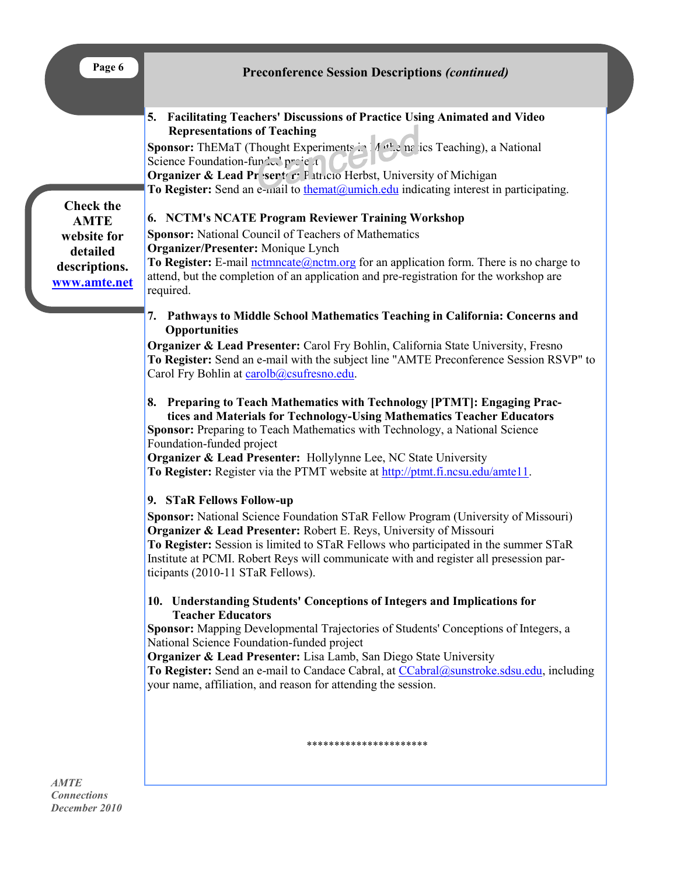| Page 6                                                                                      | <b>Preconference Session Descriptions (continued)</b>                                                                                                                                                                                                                                                                                                                                                                                                                                                                                                                                                                                                                                                                                                                                                                                                                                                                                                                                                                                                                                                                                                                                                                                                                                                                                                                                                                                                                                                                                                                                                                                                                                                                                                                                                                                                                                                                                                                                                                                                                                                                                                                                                                                                                                                                                                                                           |  |
|---------------------------------------------------------------------------------------------|-------------------------------------------------------------------------------------------------------------------------------------------------------------------------------------------------------------------------------------------------------------------------------------------------------------------------------------------------------------------------------------------------------------------------------------------------------------------------------------------------------------------------------------------------------------------------------------------------------------------------------------------------------------------------------------------------------------------------------------------------------------------------------------------------------------------------------------------------------------------------------------------------------------------------------------------------------------------------------------------------------------------------------------------------------------------------------------------------------------------------------------------------------------------------------------------------------------------------------------------------------------------------------------------------------------------------------------------------------------------------------------------------------------------------------------------------------------------------------------------------------------------------------------------------------------------------------------------------------------------------------------------------------------------------------------------------------------------------------------------------------------------------------------------------------------------------------------------------------------------------------------------------------------------------------------------------------------------------------------------------------------------------------------------------------------------------------------------------------------------------------------------------------------------------------------------------------------------------------------------------------------------------------------------------------------------------------------------------------------------------------------------------|--|
| <b>Check the</b><br><b>AMTE</b><br>website for<br>detailed<br>descriptions.<br>www.amte.net | <b>Facilitating Teachers' Discussions of Practice Using Animated and Video</b><br>5.<br><b>Representations of Teaching</b><br>Sponsor: ThEMaT (Thought Experiments in 14th, ne ics Teaching), a National<br>Science Foundation-fundation project<br>Organizer & Lead Pr sert c: Fatticio Herbst, University of Michigan<br>To Register: Send an e-mail to themat@umich.edu indicating interest in participating.<br>6. NCTM's NCATE Program Reviewer Training Workshop<br><b>Sponsor:</b> National Council of Teachers of Mathematics<br>Organizer/Presenter: Monique Lynch<br>To Register: E-mail not noting and more form application form. There is no charge to<br>attend, but the completion of an application and pre-registration for the workshop are<br>required.<br>7. Pathways to Middle School Mathematics Teaching in California: Concerns and<br><b>Opportunities</b><br><b>Organizer &amp; Lead Presenter:</b> Carol Fry Bohlin, California State University, Fresno<br>To Register: Send an e-mail with the subject line "AMTE Preconference Session RSVP" to<br>Carol Fry Bohlin at carolb@csufresno.edu.<br><b>Preparing to Teach Mathematics with Technology [PTMT]: Engaging Prac-</b><br>8.<br>tices and Materials for Technology-Using Mathematics Teacher Educators<br>Sponsor: Preparing to Teach Mathematics with Technology, a National Science<br>Foundation-funded project<br>Organizer & Lead Presenter: Hollylynne Lee, NC State University<br>To Register: Register via the PTMT website at http://ptmt.fi.ncsu.edu/amte11.<br>9. STaR Fellows Follow-up<br>Sponsor: National Science Foundation STaR Fellow Program (University of Missouri)<br><b>Organizer &amp; Lead Presenter:</b> Robert E. Reys, University of Missouri<br>To Register: Session is limited to STaR Fellows who participated in the summer STaR<br>Institute at PCMI. Robert Reys will communicate with and register all presession par-<br>ticipants (2010-11 STaR Fellows).<br>10. Understanding Students' Conceptions of Integers and Implications for<br><b>Teacher Educators</b><br>Sponsor: Mapping Developmental Trajectories of Students' Conceptions of Integers, a<br>National Science Foundation-funded project<br>Organizer & Lead Presenter: Lisa Lamb, San Diego State University<br>To Register: Send an e-mail to Candace Cabral, at CCabral@sunstroke.sdsu.edu, including |  |
|                                                                                             | your name, affiliation, and reason for attending the session.<br>**********************                                                                                                                                                                                                                                                                                                                                                                                                                                                                                                                                                                                                                                                                                                                                                                                                                                                                                                                                                                                                                                                                                                                                                                                                                                                                                                                                                                                                                                                                                                                                                                                                                                                                                                                                                                                                                                                                                                                                                                                                                                                                                                                                                                                                                                                                                                         |  |

*AMTE Connections December 2010*

п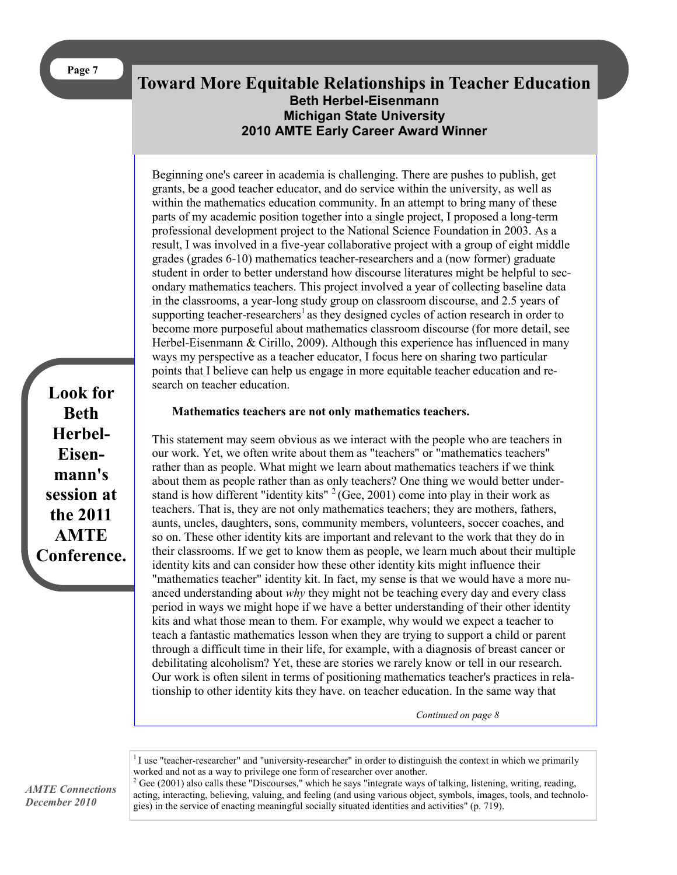## **Toward More Equitable Relationships in Teacher Education Beth Herbel-Eisenmann Michigan State University 2010 AMTE Early Career Award Winner**

Beginning one's career in academia is challenging. There are pushes to publish, get grants, be a good teacher educator, and do service within the university, as well as within the mathematics education community. In an attempt to bring many of these parts of my academic position together into a single project, I proposed a long-term professional development project to the National Science Foundation in 2003. As a result, I was involved in a five-year collaborative project with a group of eight middle grades (grades 6-10) mathematics teacher-researchers and a (now former) graduate student in order to better understand how discourse literatures might be helpful to secondary mathematics teachers. This project involved a year of collecting baseline data in the classrooms, a year-long study group on classroom discourse, and 2.5 years of supporting teacher-researchers<sup>1</sup> as they designed cycles of action research in order to become more purposeful about mathematics classroom discourse (for more detail, see Herbel-Eisenmann & Cirillo, 2009). Although this experience has influenced in many ways my perspective as a teacher educator, I focus here on sharing two particular points that I believe can help us engage in more equitable teacher education and research on teacher education.

**Look for Beth Herbel-Eisenmann's session at the 2011 AMTE Conference.**

#### **Mathematics teachers are not only mathematics teachers.**

This statement may seem obvious as we interact with the people who are teachers in our work. Yet, we often write about them as "teachers" or "mathematics teachers" rather than as people. What might we learn about mathematics teachers if we think about them as people rather than as only teachers? One thing we would better understand is how different "identity kits"  $2$  (Gee, 2001) come into play in their work as teachers. That is, they are not only mathematics teachers; they are mothers, fathers, aunts, uncles, daughters, sons, community members, volunteers, soccer coaches, and so on. These other identity kits are important and relevant to the work that they do in their classrooms. If we get to know them as people, we learn much about their multiple identity kits and can consider how these other identity kits might influence their "mathematics teacher" identity kit. In fact, my sense is that we would have a more nuanced understanding about *why* they might not be teaching every day and every class period in ways we might hope if we have a better understanding of their other identity kits and what those mean to them. For example, why would we expect a teacher to teach a fantastic mathematics lesson when they are trying to support a child or parent through a difficult time in their life, for example, with a diagnosis of breast cancer or debilitating alcoholism? Yet, these are stories we rarely know or tell in our research. Our work is often silent in terms of positioning mathematics teacher's practices in relationship to other identity kits they have. on teacher education. In the same way that

*Continued on page 8*

 $1$  use "teacher-researcher" and "university-researcher" in order to distinguish the context in which we primarily worked and not as a way to privilege one form of researcher over another.

 $2$  Gee (2001) also calls these "Discourses," which he says "integrate ways of talking, listening, writing, reading, acting, interacting, believing, valuing, and feeling (and using various object, symbols, images, tools, and technologies) in the service of enacting meaningful socially situated identities and activities" (p. 719).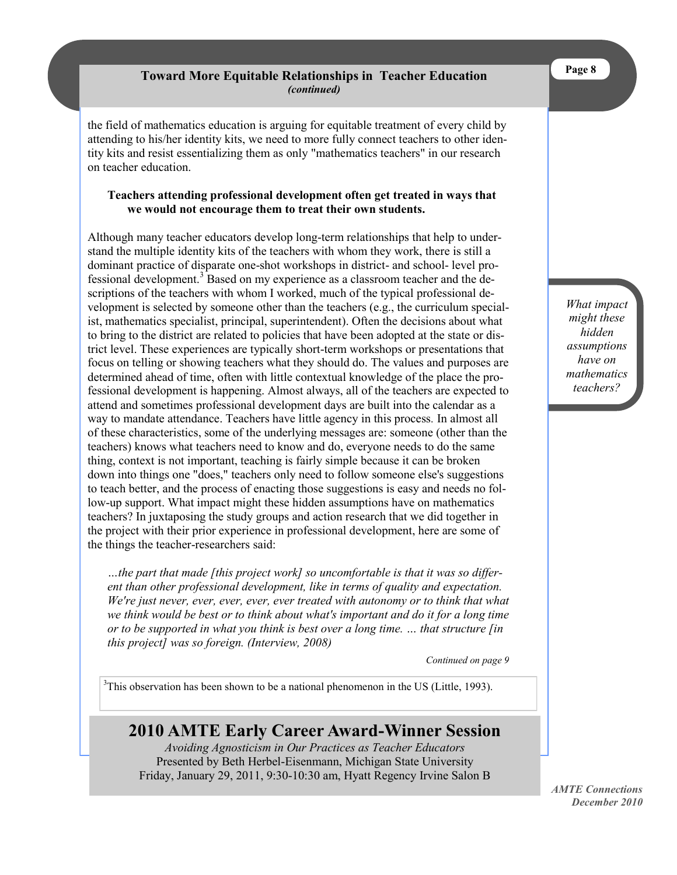## **Toward More Equitable Relationships in Teacher Education**  *(continued)*

the field of mathematics education is arguing for equitable treatment of every child by attending to his/her identity kits, we need to more fully connect teachers to other identity kits and resist essentializing them as only "mathematics teachers" in our research on teacher education.

#### **Teachers attending professional development often get treated in ways that we would not encourage them to treat their own students.**

Although many teacher educators develop long-term relationships that help to understand the multiple identity kits of the teachers with whom they work, there is still a dominant practice of disparate one-shot workshops in district- and school- level professional development.<sup>3</sup> Based on my experience as a classroom teacher and the descriptions of the teachers with whom I worked, much of the typical professional development is selected by someone other than the teachers (e.g., the curriculum specialist, mathematics specialist, principal, superintendent). Often the decisions about what to bring to the district are related to policies that have been adopted at the state or district level. These experiences are typically short-term workshops or presentations that focus on telling or showing teachers what they should do. The values and purposes are determined ahead of time, often with little contextual knowledge of the place the professional development is happening. Almost always, all of the teachers are expected to attend and sometimes professional development days are built into the calendar as a way to mandate attendance. Teachers have little agency in this process*.* In almost all of these characteristics, some of the underlying messages are: someone (other than the teachers) knows what teachers need to know and do, everyone needs to do the same thing, context is not important, teaching is fairly simple because it can be broken down into things one "does," teachers only need to follow someone else's suggestions to teach better, and the process of enacting those suggestions is easy and needs no follow-up support. What impact might these hidden assumptions have on mathematics teachers? In juxtaposing the study groups and action research that we did together in the project with their prior experience in professional development, here are some of the things the teacher-researchers said:

*…the part that made [this project work] so uncomfortable is that it was so different than other professional development, like in terms of quality and expectation. We're just never, ever, ever, ever, ever treated with autonomy or to think that what we think would be best or to think about what's important and do it for a long time or to be supported in what you think is best over a long time. … that structure [in this project] was so foreign. (Interview, 2008)*

*Continued on page 9*

 $3$ This observation has been shown to be a national phenomenon in the US (Little, 1993).

## **2010 AMTE Early Career Award-Winner Session**

*Avoiding Agnosticism in Our Practices as Teacher Educators* Presented by Beth Herbel-Eisenmann, Michigan State University Friday, January 29, 2011, 9:30-10:30 am, Hyatt Regency Irvine Salon B *What impact might these hidden assumptions have on mathematics teachers?* 

*AMTE Connections December 2010*

**Page 8**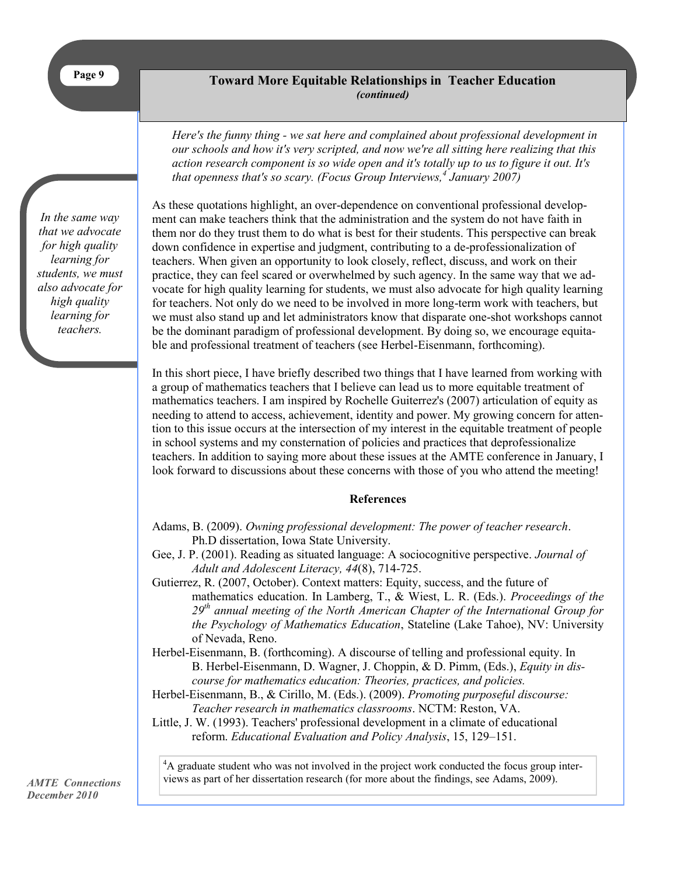#### **Toward More Equitable Relationships in Teacher Education**  *(continued)*

*Here's the funny thing - we sat here and complained about professional development in our schools and how it's very scripted, and now we're all sitting here realizing that this action research component is so wide open and it's totally up to us to figure it out. It's that openness that's so scary. (Focus Group Interviews,<sup>4</sup> January 2007)*

*In the same way that we advocate for high quality learning for students, we must also advocate for high quality learning for teachers.*

As these quotations highlight, an over-dependence on conventional professional development can make teachers think that the administration and the system do not have faith in them nor do they trust them to do what is best for their students. This perspective can break down confidence in expertise and judgment, contributing to a de-professionalization of teachers. When given an opportunity to look closely, reflect, discuss, and work on their practice, they can feel scared or overwhelmed by such agency. In the same way that we advocate for high quality learning for students, we must also advocate for high quality learning for teachers. Not only do we need to be involved in more long-term work with teachers, but we must also stand up and let administrators know that disparate one-shot workshops cannot be the dominant paradigm of professional development. By doing so, we encourage equitable and professional treatment of teachers (see Herbel-Eisenmann, forthcoming).

In this short piece, I have briefly described two things that I have learned from working with a group of mathematics teachers that I believe can lead us to more equitable treatment of mathematics teachers. I am inspired by Rochelle Guiterrez's (2007) articulation of equity as needing to attend to access, achievement, identity and power. My growing concern for attention to this issue occurs at the intersection of my interest in the equitable treatment of people in school systems and my consternation of policies and practices that deprofessionalize teachers. In addition to saying more about these issues at the AMTE conference in January, I look forward to discussions about these concerns with those of you who attend the meeting!

#### **References**

- Adams, B. (2009). *Owning professional development: The power of teacher research*. Ph.D dissertation, Iowa State University.
- Gee, J. P. (2001). Reading as situated language: A sociocognitive perspective. *Journal of Adult and Adolescent Literacy, 44*(8), 714-725.
- Gutierrez, R. (2007, October). Context matters: Equity, success, and the future of mathematics education. In Lamberg, T., & Wiest, L. R. (Eds.). *Proceedings of the 29th annual meeting of the North American Chapter of the International Group for the Psychology of Mathematics Education*, Stateline (Lake Tahoe), NV: University of Nevada, Reno.
- Herbel-Eisenmann, B. (forthcoming). A discourse of telling and professional equity. In B. Herbel-Eisenmann, D. Wagner, J. Choppin, & D. Pimm, (Eds.), *Equity in discourse for mathematics education: Theories, practices, and policies.*
- Herbel-Eisenmann, B., & Cirillo, M. (Eds.). (2009). *Promoting purposeful discourse: Teacher research in mathematics classrooms*. NCTM: Reston, VA.
- Little, J. W. (1993). Teachers' professional development in a climate of educational reform. *Educational Evaluation and Policy Analysis*, 15, 129–151.

<sup>4</sup>A graduate student who was not involved in the project work conducted the focus group interviews as part of her dissertation research (for more about the findings, see Adams, 2009).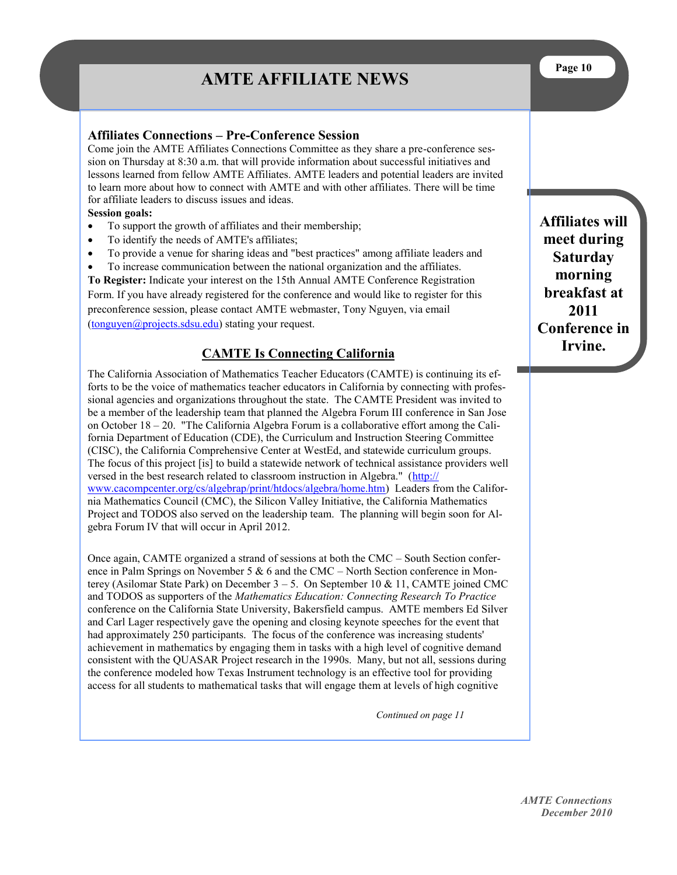# **AMTE AFFILIATE NEWS**

#### **Affiliates Connections – Pre-Conference Session**

Come join the AMTE Affiliates Connections Committee as they share a pre-conference session on Thursday at 8:30 a.m. that will provide information about successful initiatives and lessons learned from fellow AMTE Affiliates. AMTE leaders and potential leaders are invited to learn more about how to connect with AMTE and with other affiliates. There will be time for affiliate leaders to discuss issues and ideas.

#### **Session goals:**

- To support the growth of affiliates and their membership;
- To identify the needs of AMTE's affiliates;
- To provide a venue for sharing ideas and "best practices" among affiliate leaders and
- To increase communication between the national organization and the affiliates.

**To Register:** Indicate your interest on the 15th Annual AMTE Conference Registration Form. If you have already registered for the conference and would like to register for this preconference session, please contact AMTE webmaster, Tony Nguyen, via email ([tonguyen@projects.sdsu.edu\)](mailto:tonguyen@projects.sdsu.edu) stating your request.

#### **CAMTE Is Connecting California**

The California Association of Mathematics Teacher Educators (CAMTE) is continuing its efforts to be the voice of mathematics teacher educators in California by connecting with professional agencies and organizations throughout the state. The CAMTE President was invited to be a member of the leadership team that planned the Algebra Forum III conference in San Jose on October 18 – 20. "The California Algebra Forum is a collaborative effort among the California Department of Education (CDE), the Curriculum and Instruction Steering Committee (CISC), the California Comprehensive Center at WestEd, and statewide curriculum groups. The focus of this project [is] to build a statewide network of technical assistance providers well versed in the best research related to classroom instruction in Algebra." ([http://](http://www.cacompcenter.org/cs/algebrap/print/htdocs/algebra/home.htm) [www.cacompcenter.org/cs/algebrap/print/htdocs/algebra/home.htm\)](http://www.cacompcenter.org/cs/algebrap/print/htdocs/algebra/home.htm) Leaders from the California Mathematics Council (CMC), the Silicon Valley Initiative, the California Mathematics Project and TODOS also served on the leadership team. The planning will begin soon for Algebra Forum IV that will occur in April 2012.

Once again, CAMTE organized a strand of sessions at both the CMC – South Section conference in Palm Springs on November 5  $\&$  6 and the CMC – North Section conference in Monterey (Asilomar State Park) on December  $3 - 5$ . On September 10 & 11, CAMTE joined CMC and TODOS as supporters of the *Mathematics Education: Connecting Research To Practice* conference on the California State University, Bakersfield campus. AMTE members Ed Silver and Carl Lager respectively gave the opening and closing keynote speeches for the event that had approximately 250 participants. The focus of the conference was increasing students' achievement in mathematics by engaging them in tasks with a high level of cognitive demand consistent with the QUASAR Project research in the 1990s. Many, but not all, sessions during the conference modeled how Texas Instrument technology is an effective tool for providing access for all students to mathematical tasks that will engage them at levels of high cognitive

*Continued on page 11*

**Affiliates will meet during Saturday morning breakfast at 2011 Conference in Irvine.**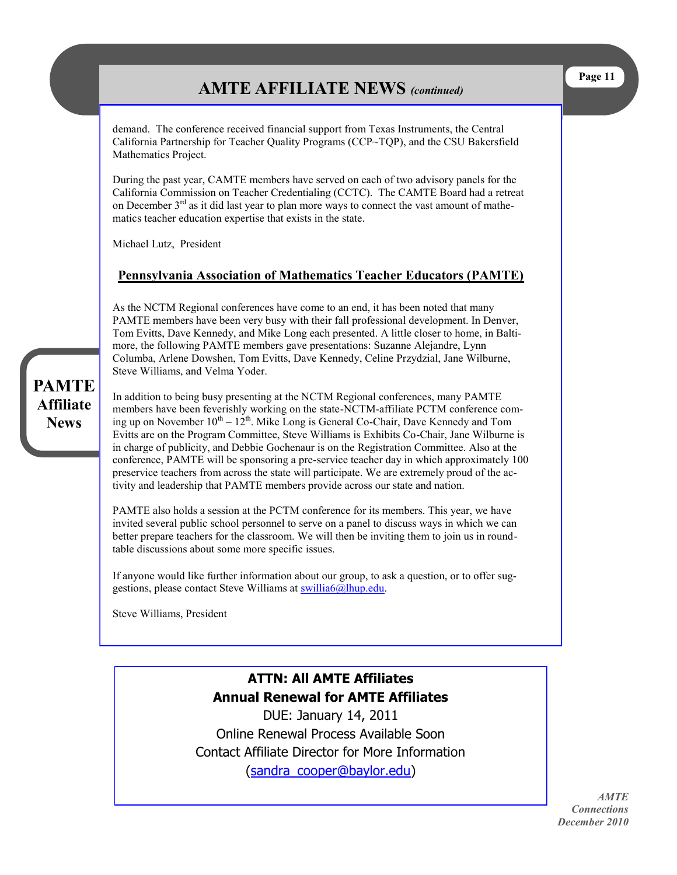# **AMTE AFFILIATE NEWS** *(continued)*

demand. The conference received financial support from Texas Instruments, the Central California Partnership for Teacher Quality Programs (CCP~TQP), and the CSU Bakersfield Mathematics Project.

During the past year, CAMTE members have served on each of two advisory panels for the California Commission on Teacher Credentialing (CCTC). The CAMTE Board had a retreat on December  $3<sup>rd</sup>$  as it did last year to plan more ways to connect the vast amount of mathematics teacher education expertise that exists in the state.

Michael Lutz, President

## **Pennsylvania Association of Mathematics Teacher Educators (PAMTE)**

As the NCTM Regional conferences have come to an end, it has been noted that many PAMTE members have been very busy with their fall professional development. In Denver, Tom Evitts, Dave Kennedy, and Mike Long each presented. A little closer to home, in Baltimore, the following PAMTE members gave presentations: Suzanne Alejandre, Lynn Columba, Arlene Dowshen, Tom Evitts, Dave Kennedy, Celine Przydzial, Jane Wilburne, Steve Williams, and Velma Yoder.

In addition to being busy presenting at the NCTM Regional conferences, many PAMTE members have been feverishly working on the state-NCTM-affiliate PCTM conference coming up on November  $10^{th} - 12^{th}$ . Mike Long is General Co-Chair, Dave Kennedy and Tom Evitts are on the Program Committee, Steve Williams is Exhibits Co-Chair, Jane Wilburne is in charge of publicity, and Debbie Gochenaur is on the Registration Committee. Also at the conference, PAMTE will be sponsoring a pre-service teacher day in which approximately 100 preservice teachers from across the state will participate. We are extremely proud of the activity and leadership that PAMTE members provide across our state and nation.

PAMTE also holds a session at the PCTM conference for its members. This year, we have invited several public school personnel to serve on a panel to discuss ways in which we can better prepare teachers for the classroom. We will then be inviting them to join us in roundtable discussions about some more specific issues.

If anyone would like further information about our group, to ask a question, or to offer suggestions, please contact Steve Williams at [swillia6@lhup.edu.](mailto:swillia6@lhup.edu)

Steve Williams, President

## **ATTN: All AMTE Affiliates Annual Renewal for AMTE Affiliates**

DUE: January 14, 2011 Online Renewal Process Available Soon Contact Affiliate Director for More Information ([sandra\\_cooper@baylor.edu\)](mailto:sandra_cooper@baylor.edu)

*AMTE Connections December 2010*

## **PAMTE Affiliate News**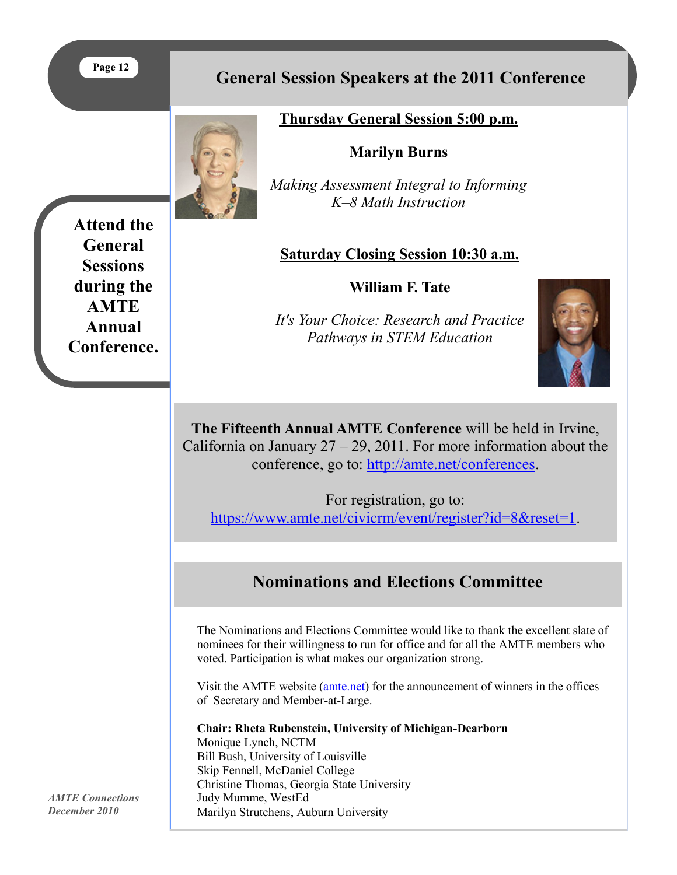## **Page 12**

**Attend the General Sessions during the AMTE Annual Conference.**

## **General Session Speakers at the 2011 Conference**

## **Thursday General Session 5:00 p.m.**

## **Marilyn Burns**

*Making Assessment Integral to Informing K–8 Math Instruction*

## **Saturday Closing Session 10:30 a.m.**

**William F. Tate**

*It's Your Choice: Research and Practice Pathways in STEM Education*



**The Fifteenth Annual AMTE Conference** will be held in Irvine, California on January  $27 - 29$ , 2011. For more information about the conference, go to: [http://amte.net/conferences.](http://amte.net/conferences)

For registration, go to: [https://www.amte.net/civicrm/event/register?id=8&reset=1.](https://www.amte.net/civicrm/event/register?id=8&reset=1)

# **Nominations and Elections Committee**

The Nominations and Elections Committee would like to thank the excellent slate of nominees for their willingness to run for office and for all the AMTE members who voted. Participation is what makes our organization strong.

Visit the AMTE website ([amte.net\)](http://www.amte.net) for the announcement of winners in the offices of Secretary and Member-at-Large.

**Chair: Rheta Rubenstein, University of Michigan-Dearborn**

Monique Lynch, NCTM Bill Bush, University of Louisville Skip Fennell, McDaniel College Christine Thomas, Georgia State University Judy Mumme, WestEd Marilyn Strutchens, Auburn University

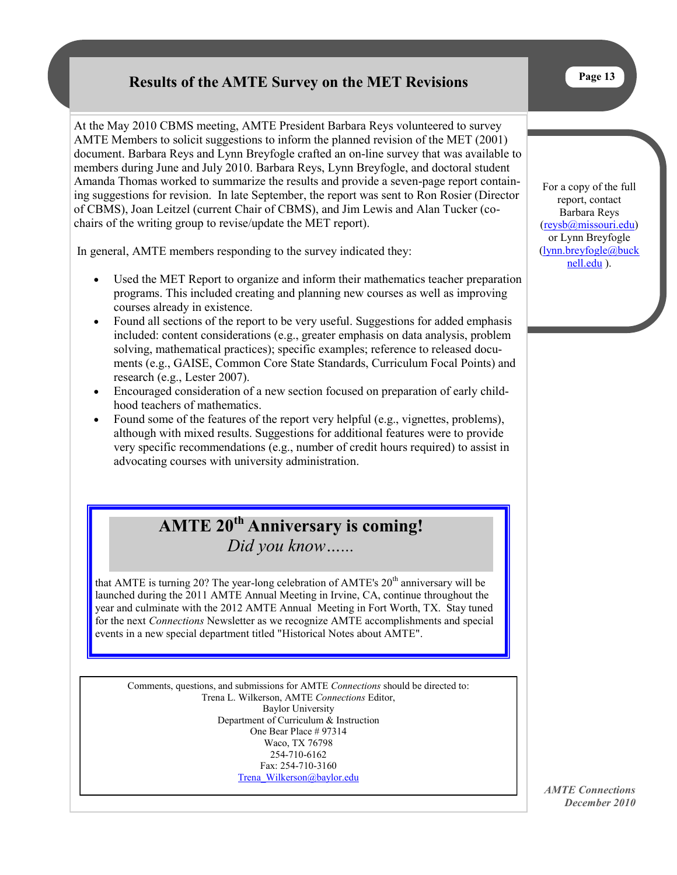## **Results of the AMTE Survey on the MET Revisions**

At the May 2010 CBMS meeting, AMTE President Barbara Reys volunteered to survey AMTE Members to solicit suggestions to inform the planned revision of the MET (2001) document. Barbara Reys and Lynn Breyfogle crafted an on-line survey that was available to members during June and July 2010. Barbara Reys, Lynn Breyfogle, and doctoral student Amanda Thomas worked to summarize the results and provide a seven-page report containing suggestions for revision. In late September, the report was sent to Ron Rosier (Director of CBMS), Joan Leitzel (current Chair of CBMS), and Jim Lewis and Alan Tucker (cochairs of the writing group to revise/update the MET report).

In general, AMTE members responding to the survey indicated they:

- Used the MET Report to organize and inform their mathematics teacher preparation programs. This included creating and planning new courses as well as improving courses already in existence.
- Found all sections of the report to be very useful. Suggestions for added emphasis included: content considerations (e.g., greater emphasis on data analysis, problem solving, mathematical practices); specific examples; reference to released documents (e.g., GAISE, Common Core State Standards, Curriculum Focal Points) and research (e.g., Lester 2007).
- Encouraged consideration of a new section focused on preparation of early childhood teachers of mathematics.
- Found some of the features of the report very helpful (e.g., vignettes, problems), although with mixed results. Suggestions for additional features were to provide very specific recommendations (e.g., number of credit hours required) to assist in advocating courses with university administration.

# **AMTE 20th Anniversary is coming!** *Did you know…...*

that AMTE is turning 20? The year-long celebration of AMTE's  $20<sup>th</sup>$  anniversary will be launched during the 2011 AMTE Annual Meeting in Irvine, CA, continue throughout the year and culminate with the 2012 AMTE Annual Meeting in Fort Worth, TX. Stay tuned for the next *Connections* Newsletter as we recognize AMTE accomplishments and special events in a new special department titled "Historical Notes about AMTE".

Comments, questions, and submissions for AMTE *Connections* should be directed to: Trena L. Wilkerson, AMTE *Connections* Editor, Baylor University Department of Curriculum & Instruction One Bear Place # 97314 Waco, TX 76798 254-710-6162 Fax: 254-710-3160 [Trena\\_Wilkerson@baylor.edu](mailto:Trena_Wilkerson@baylor.edu)

For a copy of the full report, contact Barbara Reys [\(reysb@missouri.edu\)](mailto:reysb@missouri.edu)  or Lynn Breyfogle [\(lynn.breyfogle@buck](mailto:lynn.breyfogle@bucknell.edu) [nell.edu](mailto:lynn.breyfogle@bucknell.edu) ).

*AMTE Connections December 2010*

**Page 13**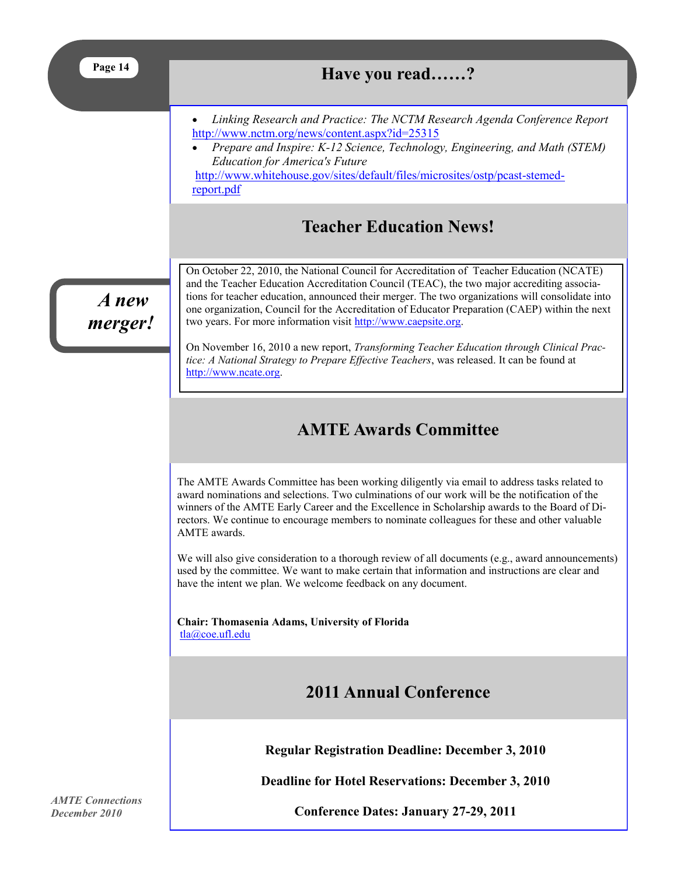| Page 14            | Have you read?                                                                                                                                                                                                                                                                                                                                                                                                                                                                                                                                             |  |  |
|--------------------|------------------------------------------------------------------------------------------------------------------------------------------------------------------------------------------------------------------------------------------------------------------------------------------------------------------------------------------------------------------------------------------------------------------------------------------------------------------------------------------------------------------------------------------------------------|--|--|
|                    | Linking Research and Practice: The NCTM Research Agenda Conference Report<br>http://www.nctm.org/news/content.aspx?id=25315<br>Prepare and Inspire: K-12 Science, Technology, Engineering, and Math (STEM)<br><b>Education for America's Future</b><br>http://www.whitehouse.gov/sites/default/files/microsites/ostp/pcast-stemed-<br>report.pdf                                                                                                                                                                                                           |  |  |
|                    | <b>Teacher Education News!</b>                                                                                                                                                                                                                                                                                                                                                                                                                                                                                                                             |  |  |
| $A$ new<br>merger! | On October 22, 2010, the National Council for Accreditation of Teacher Education (NCATE)<br>and the Teacher Education Accreditation Council (TEAC), the two major accrediting associa-<br>tions for teacher education, announced their merger. The two organizations will consolidate into<br>one organization, Council for the Accreditation of Educator Preparation (CAEP) within the next<br>two years. For more information visit http://www.caepsite.org.<br>On November 16, 2010 a new report, Transforming Teacher Education through Clinical Prac- |  |  |
|                    | tice: A National Strategy to Prepare Effective Teachers, was released. It can be found at<br>http://www.ncate.org.                                                                                                                                                                                                                                                                                                                                                                                                                                         |  |  |
|                    | <b>AMTE Awards Committee</b>                                                                                                                                                                                                                                                                                                                                                                                                                                                                                                                               |  |  |
|                    | The AMTE Awards Committee has been working diligently via email to address tasks related to<br>award nominations and selections. Two culminations of our work will be the notification of the<br>winners of the AMTE Early Career and the Excellence in Scholarship awards to the Board of Di-<br>rectors. We continue to encourage members to nominate colleagues for these and other valuable<br>AMTE awards.                                                                                                                                            |  |  |
|                    | We will also give consideration to a thorough review of all documents (e.g., award announcements)<br>used by the committee. We want to make certain that information and instructions are clear and<br>have the intent we plan. We welcome feedback on any document.                                                                                                                                                                                                                                                                                       |  |  |
|                    | Chair: Thomasenia Adams, University of Florida<br>tla@coe.ufl.edu                                                                                                                                                                                                                                                                                                                                                                                                                                                                                          |  |  |
|                    | <b>2011 Annual Conference</b>                                                                                                                                                                                                                                                                                                                                                                                                                                                                                                                              |  |  |
|                    | <b>Regular Registration Deadline: December 3, 2010</b>                                                                                                                                                                                                                                                                                                                                                                                                                                                                                                     |  |  |
|                    | <b>Deadline for Hotel Reservations: December 3, 2010</b>                                                                                                                                                                                                                                                                                                                                                                                                                                                                                                   |  |  |

*AMTE Connections December 2010*

**Conference Dates: January 27-29, 2011**